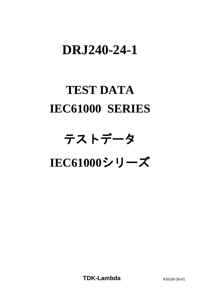# **DRJ240-24-1**

# **TEST DATA IEC61000 SERIES**

# テストデータ **IEC61000**シリーズ

**TDK-Lambda** PA638-58-01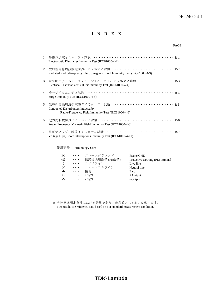**I N D E X**

| Electrostatic Discharge Immunity Test (IEC61000-4-2)                                                                      |
|---------------------------------------------------------------------------------------------------------------------------|
| Radiated Radio-Frequency Electromagnetic Field Immunity Test (IEC61000-4-3)                                               |
| 3.電気的ファーストトランジェントバーストイミュニティ試験 ····················· R-3<br>Electrical Fast Transient / Burst Immunity Test (IEC61000-4-4) |
| Surge Immunity Test (IEC61000-4-5)                                                                                        |
| Conducted Disturbances Induced by<br>Radio-Frequency Field Immunity Test (IEC61000-4-6)                                   |
| Power Frequency Magnetic Field Immunity Test (IEC61000-4-8)                                                               |
| Voltage Dips, Short Interruptions Immunity Test (IEC61000-4-11)                                                           |

使用記号 Terminology Used

| FG               |          | ・・・・・ フレームグラウンド | Frame GND                         |
|------------------|----------|-----------------|-----------------------------------|
| ⊕                | $\cdots$ | 保護接地用端子 (PE端子)  | Protective earthing (PE) terminal |
| $\mathbf{L}$     |          | ・・・・・ ライブライン    | Live line                         |
| $\mathbf N$      | $\cdots$ | ニュートラルライン       | Neutral line                      |
| $\overline{\pi}$ | $\cdots$ | 接地              | Earth                             |
| $+V$             | $\cdots$ | +出力             | $+$ Output                        |
|                  | $-V$     | - 出力            | - Output                          |

※ 当社標準測定条件における結果であり、参考値としてお考え願います。 Test results are reference data based on our standard measurement condition.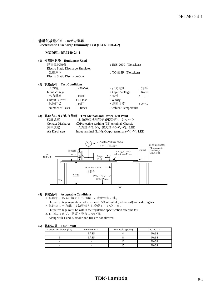#### 1. 静電気放電イミュニティ試験

**Electrostatic Discharge Immunity Test (IEC61000-4-2)**

#### **MODEL: DRJ240-24-1**

**(1)** 使用計測器 **Equipment Used**

| 静電気試験機                             | $ESS-2000$ (Noiseken) |
|------------------------------------|-----------------------|
| Electro Static Discharge Simulator |                       |
| 放電ガン                               | $TC-815R$ (Noiseken)  |
| Electro Static Discharge Gun       |                       |
|                                    |                       |

#### **(2)** 試験条件 **Test Conditions**

| ・入力電圧                 | : 230VAC      | ・出力電圧                      | :定格            |
|-----------------------|---------------|----------------------------|----------------|
| <b>Input Voltage</b>  |               | <b>Output Voltage</b>      | Rated          |
| ・出力電流                 | $:100\%$      | ・極性                        | $: +,-$        |
| <b>Output Current</b> | Full load     | Polarity                   |                |
| ・試験回数                 | $:10 \square$ | · 周囲温度                     | $:25^{\circ}C$ |
| Number of Tests       | 10 times      | <b>Ambient Temperature</b> |                |

#### **(3)** 試験方法及び印加箇所 **Test Method and Device Test Point**

 接触放電 : 保護接地用端子 (PE端子)、 シャーシ Contact Discharge  $\bigoplus$  Protective earthing (PE) terminal, Chassis 気中放電 :入力端子(L, N)、出力端子(+V, -V)、LED Air Discharge Input terminal (L, N), Output terminal (+V, -V), LED



#### **(4)** 判定条件 **Acceptable Conditions**

1. 試験中、±5%を超える出力電圧の変動が無い事。

- Output voltage regulation not to exceed ±5% of initial (before test) value during test. 2. 試験後の出力電圧は初期値から変動していない事。
- Output voltage must be within the regulation specification after the test.
- 3. 1、2に加えて、発煙・発火のない事。

Along with 1 and 2, smoke and fire are not allowed.

#### **(5)** 試験結果 **Test Result**

| Contact Discharge (kV) | DRJ240-24-1 | Air Discharge(kV) | DRJ240-24-1 |
|------------------------|-------------|-------------------|-------------|
|                        | <b>PASS</b> |                   | <b>PASS</b> |
|                        | <b>PASS</b> |                   | <b>PASS</b> |
| -                      | -           |                   | <b>PASS</b> |
| -                      | -           |                   | <b>PASS</b> |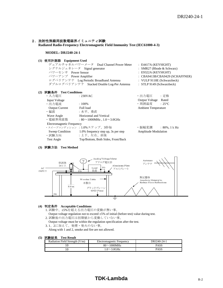#### 2. 放射性無線周波数電磁界イミュニティ試験

**Radiated Radio-Frequency Electromagnetic Field Immunity Test (IEC61000-4-3)**

#### **MODEL: DRJ240-24-1**

#### **(1)** 使用計測器 **Equipment Used**

| デュアルチャネルパワーメータ Dual Channel Power Meter    | $\therefore$ E4417A (KEYSIGHT)   |
|--------------------------------------------|----------------------------------|
| シグナルジェネレータ Signal generator                | : SMR27 (Rhode $&$ Schwarz)      |
| パワーセンサ Power Sensor                        | : E9322A (KEYSIGHT)              |
| パワーアンプ Power Amplifier                     | : $CBA9413B/CBA9429$ (SCHAFFNER) |
| ログペリアンテナ Log Periodic Broadband Antenna    | : VULP 9118E (Schwarzbeck)       |
| ダブルログペリアンテナ Stacked Double Log-Per Antenna | $:$ STLP 9149 (Schwarzbeck)      |
|                                            |                                  |

#### **(2)** 試験条件 **Test Conditions**

| ・入力電圧                            | : 230VAC                                            | ・出力電圧                       | :定格               |
|----------------------------------|-----------------------------------------------------|-----------------------------|-------------------|
| <b>Input Voltage</b>             |                                                     | <b>Output Voltage</b>       | Rated             |
| ・出力電流                            | $:100\%$                                            | ・周囲温度                       | $:25^{\circ}C$    |
| <b>Output Current</b>            | Full load                                           | <b>Ambient Temperature</b>  |                   |
| ・偏波                              | :水平、垂直                                              |                             |                   |
| Wave Angle                       | Horizontal and Vertical                             |                             |                   |
| ・電磁界周波数                          | : $80 \sim 1000$ MHz, $1.0 \sim 3.0$ GHz            |                             |                   |
| <b>Electromagnetic Frequency</b> |                                                     |                             |                   |
|                                  | ・スイープコンディション : 1.0%ステップ、3秒毎                         | ・振幅変調                       | $: 80\%$ , 1 k Hz |
|                                  | Sweep Condition 1.0% frequency step up, 3s per step | <b>Amplitude Modulation</b> |                   |
| ・試験方向                            | :上下、左右、前後                                           |                             |                   |
| <b>Test Angle</b>                | Top/Bottom, Both Sides, Front/Back                  |                             |                   |

#### **(3)** 試験方法 **Test Method**



#### **(4)** 判定条件 **Acceptable Conditions**

- 1. 試験中、±5%を超える出力電圧の変動が無い事。
- Output voltage regulation not to exceed  $\pm 5\%$  of initial (before test) value during test. 2. 試験後の出力電圧は初期値から変動していない事。
- Output voltage must be within the regulation specification after the test.
- 3. 1、2に加えて、発煙・発火のない事。

Along with 1 and 2, smoke and fire are not allowed.

#### **(5)** 試験結果 **Test Result**

| Radiation Field Strength $(V/m)$ | Electromagnetic Frequency | DRJ240-24-1 |
|----------------------------------|---------------------------|-------------|
|                                  | $80\sim1000$ MHz          | <b>PASS</b> |
|                                  | $.0 \sim 3.0$ GHz         | PASS        |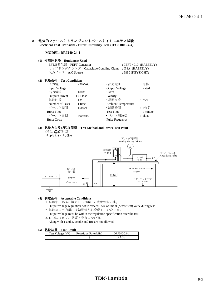3. 電気的ファーストトランジェントバーストイミュニティ試験 **Electrical Fast Transient / Burst Immunity Test (IEC61000-4-4)**

#### **MODEL: DRJ240-24-1**

**(1)** 使用計測器 **Equipment Used**

| EFT/B発生器 PEFT Generator |                                                       | $:$ PEFT 4010 (HAEFELY) |
|-------------------------|-------------------------------------------------------|-------------------------|
|                         | カップリングクランプ Capacitive Coupling Clamp : IP4A (HAEFELY) |                         |
| 入力ソース A.C Source        |                                                       | $:6830$ (KEYSIGHT)      |

#### **(2)** 試験条件 **Test Conditions**

| ・入力電圧                 | : 230VAC     | ・出力電圧                      | :定格            |
|-----------------------|--------------|----------------------------|----------------|
| <b>Input Voltage</b>  |              | <b>Output Voltage</b>      | Rated          |
| ·出力電流                 | $:100\%$     | • 極性                       | $: +,-$        |
| <b>Output Current</b> | Full load    | Polarity                   |                |
| ・試験回数                 | :1回          | ·周囲温度                      | $:25^{\circ}C$ |
| Number of Tests       | 1 time       | <b>Ambient Temperature</b> |                |
| ・バースト期間               | $: 15$ msec  | · 試験時間                     | : 1分間          |
| <b>Burst Time</b>     |              | <b>Test Time</b>           | 1 minute       |
| ・バースト周期               | $: 300$ msec | ・パルス周波数                    | : 5kHz         |
| <b>Burst Cycle</b>    |              | <b>Pulse Frequency</b>     |                |

#### **(3)** 試験方法及び印加箇所 **Test Method and Device Test Point**

(N, L, 4)に印加 Apply to  $(N, L, \bigoplus)$ 



#### **(4)** 判定条件 **Acceptable Conditions**

- 1. 試験中、±5%を超える出力電圧の変動が無い事。
	- Output voltage regulation not to exceed  $\pm 5\%$  of initial (before test) value during test.
- 2. 試験後の出力電圧は初期値から変動していない事。
- Output voltage must be within the regulation specification after the test.
- 3. 1、2に加えて、発煙・発火のない事。

Along with 1 and 2, smoke and fire are not allowed.

#### **(5)** 試験結果 **Test Result**

| T AND THAT THE    |                       |             |  |  |  |
|-------------------|-----------------------|-------------|--|--|--|
| Test Voltage (kV) | Repetition Rate (kHz) | DRJ240-24-1 |  |  |  |
|                   |                       |             |  |  |  |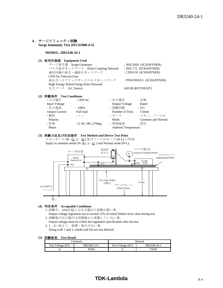#### 4.サージイミュニティ試験  **Surge Immunity Test (IEC61000-4-5)**

#### **MODEL: DRJ240-24-1**

#### **(1)** 使用計測器 **Equipment Used**

サージ発生器 Surge Generator : NSG2050 (SCHAFFNER) パルス結合ネットワーク Pulse Coupling Network :INA 172 (SCHAFFNER) 通信回線の結合・減結合ネットワーク :CDN118 (SCHAFFNER) CDN for Telecom Line 高出力ハイブリッドサージパルスネットワーク : PNW2050/51 (SCHAFFNER) High Energy Hybrid Surge Pulse Network 入力ソース A.C Source : 6813B (KEYSIGHT)

#### **(2)** 試験条件 **Test Conditions**

| ・入力電圧                 | : 230VAC                | ・出力電圧                      | :定格                      |
|-----------------------|-------------------------|----------------------------|--------------------------|
| <b>Input Voltage</b>  |                         | <b>Output Voltage</b>      | Rated                    |
| ・出力電流                 | $:100\%$                | ・試験回数                      | :5回                      |
| <b>Output Current</b> | Full load               | Number of Tests            | 5 times                  |
| ・極性                   | $: +,-$                 | ・モード                       | : コモン、ノーマル               |
| Polarity              |                         | Mode                       | <b>Common and Normal</b> |
| ・位相                   | $: 0, 90, 180, 270$ deg | ・周囲温度                      | $:25^{\circ}C$           |
| Phase                 |                         | <b>Ambient Temperature</b> |                          |
|                       |                         |                            |                          |

#### **(3)** 試験方法及び印加箇所 **Test Method and Device Test Point**

コモンモード (N- 4, L- 4) 及びノーマルモード (N-L) に印加 Apply to common mode  $(N-\bigoplus, L-\bigoplus)$  and Normal mode (N-L).



#### **(4)** 判定条件 **Acceptable Conditions**

1. 試験中、±5%を超える出力電圧の変動が無い事。

- Output voltage regulation not to exceed  $\pm 5\%$  of initial (before test) value during test. 2. 試験後の出力電圧は初期値から変動していない事。
- Output voltage must be within the regulation specification after the test.
- 3. 1、2に加えて、発煙・発火のない事。

Along with 1 and 2, smoke and fire are not allowed.

#### **(5)** 試験結果 **Test Result**

| .`ommon           |             | Normal            |             |
|-------------------|-------------|-------------------|-------------|
| Test Voltage (kV) | DRJ240-24-1 | Test Voltage (kV) | DRJ240-24-1 |
|                   | PASS        | -                 | <b>PASS</b> |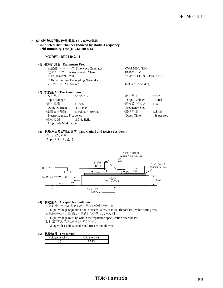#### 5. 伝導性無線周波数電磁界イミュニティ試験

**Conducted Disturbances Induced by Radio-Frequency Field Immunity Test (IEC61000-4-6)**

#### **MODEL: DRJ240-24-1**

#### **(1)** 使用計測器 **Equipment Used**

| 正弦波ジェネレータ Sine wave Generator            | : CWS 500A $(EM)$           |
|------------------------------------------|-----------------------------|
| 電磁クランプ Electromagnetic Clamp             | $:EM101$ (EM)               |
| 結合·減結合回路網                                | : T2-TEL, M2, S4-USB $(EM)$ |
| <b>CDN</b> (Coupling Decoupling Network) |                             |
| 入力ソース A.C Source                         | $:6830$ (KEYSIGHT)          |
|                                          |                             |

#### **(2)** 試験条件 **Test Conditions**

| ・入力電圧                            | :230VAC              | ・出力電圧                 | :定格         |
|----------------------------------|----------------------|-----------------------|-------------|
| <b>Input Voltage</b>             |                      | <b>Output Voltage</b> | Rated       |
| ・出力電流                            | $:100\%$             | ・周波数ステップ              | $:1\%$      |
| <b>Output Current</b>            | Full load            | <b>Frequency Step</b> |             |
| ・電磁界周波数                          | :150kHz $\sim$ 80MHz | ・滞留時間                 | :3秒毎        |
| <b>Electromagnetic Frequency</b> |                      | Dwell Time            | 3s per step |
| ・振幅変調                            | $:80\%$ , 1kHz       |                       |             |
| <b>Amplitude Modulation</b>      |                      |                       |             |

#### **(3)** 試験方法及び印加箇所 **Test Method and Device Test Point**

(N, L, 4) に印加 Apply to  $(N, L, \bigoplus)$ 



#### **(4)** 判定条件 **Acceptable Conditions**

- 1. 試験中、±5%を超える出力電圧の変動が無い事。
- Output voltage regulation not to exceed  $\pm$  5% of initial (before test) value during test.
- 2. 試験後の出力電圧は初期値から変動していない事。
	- Output voltage must be within the regulation specification after the test.
- 3. 1、2に加えて、発煙・発火のない事。
- Along with 1 and 2, smoke and fire are not allowed.

#### **(5)** 試験結果 **Test Result**

| Voltage Level (V) | DRJ240-24-1 |
|-------------------|-------------|
|                   | PYSS        |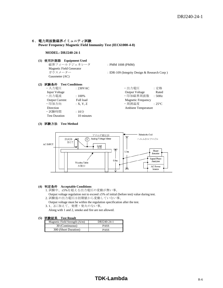#### 6.電力周波数磁界イミュニティ試験

**Power Frequency Magnetic Field Immunity Test (IEC61000-4-8)**

#### **MODEL: DRJ240-24-1**

**(1)** 使用計測器 **Equipment Used**

 磁界フィールドジェネレータ :PMM 1008 (PMM) Magnetic Field Generator<br>  $\vec{v} \vec{v} \times \vec{v} - \vec{v} -$ Gausmeter (AC)

: IDR-109 (Integrity Design & Research Corp )

#### **(2)** 試験条件 **Test Conditions**

| ・入力雷圧                 | : 230VAC   |
|-----------------------|------------|
| <b>Input Voltage</b>  |            |
| ·出力電流                 | :100%      |
| <b>Output Current</b> | Full load  |
| · 印加方向                | : X, Y, Z  |
| Direction             |            |
| ・試験時間                 | : 10分      |
| <b>Test Duration</b>  | 10 minutes |

・入力電圧 :230VAC ・出力電圧 :定格 **Output Voltage Rated** ・出力電流 :100% ・印加磁界周波数 :50Hz Magnetic Frequency  $\cdot$  周囲温度  $\qquad \qquad :25^{\circ}C$ Ambient Temperature

#### **(3)** 試験方法 **Test Method**



#### **(4)** 判定条件 **Acceptable Conditions**

- 1. 試験中、±5%を超える出力電圧の変動が無い事。
- Output voltage regulation not to exceed  $\pm 5\%$  of initial (before test) value during test. 2. 試験後の出力電圧は初期値から変動していない事。
- Output voltage must be within the regulation specification after the test.
- 3. 1、2に加えて、発煙・発火のない事。 Along with 1 and 2, smoke and fire are not allowed.

#### **(5)** 試験結果 **Test Result**

| DRJ240-24-1 |
|-------------|
| <b>PASS</b> |
| <b>PASS</b> |
|             |